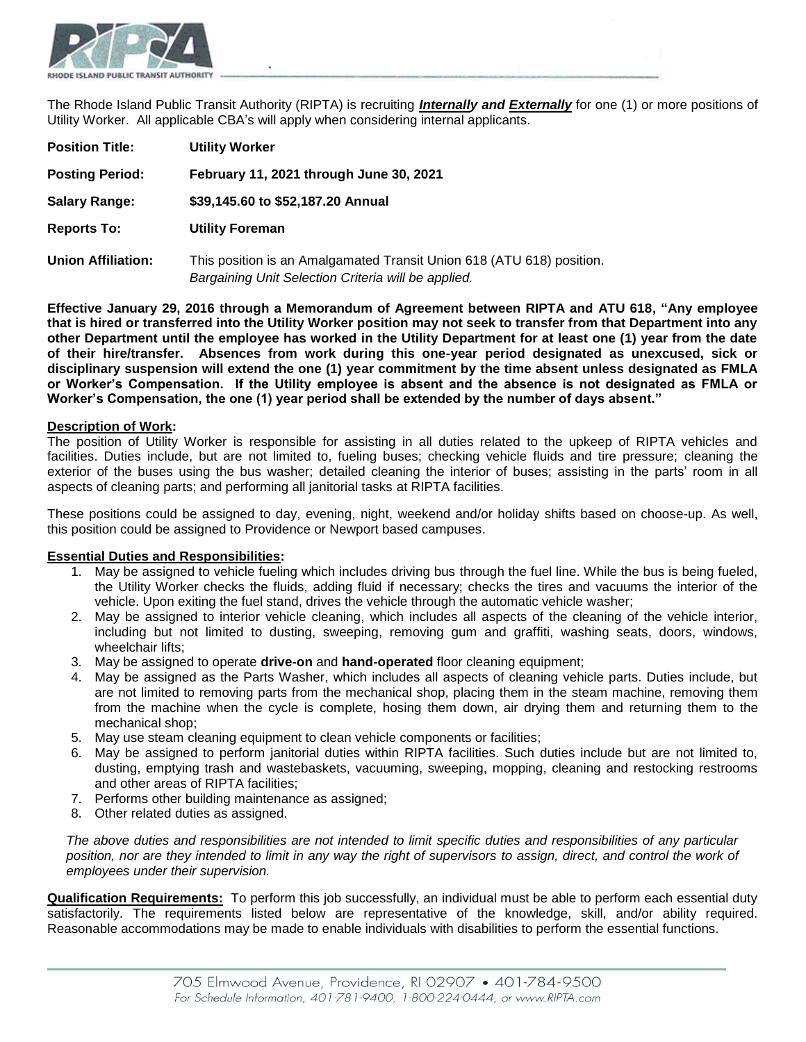

The Rhode Island Public Transit Authority (RIPTA) is recruiting *Internally and Externally* for one (1) or more positions of Utility Worker. All applicable CBA's will apply when considering internal applicants.

| <b>Position Title:</b>    | <b>Utility Worker</b>                                                                                                        |
|---------------------------|------------------------------------------------------------------------------------------------------------------------------|
| <b>Posting Period:</b>    | February 11, 2021 through June 30, 2021                                                                                      |
| <b>Salary Range:</b>      | \$39,145.60 to \$52,187.20 Annual                                                                                            |
| <b>Reports To:</b>        | <b>Utility Foreman</b>                                                                                                       |
| <b>Union Affiliation:</b> | This position is an Amalgamated Transit Union 618 (ATU 618) position.<br>Bargaining Unit Selection Criteria will be applied. |

**Effective January 29, 2016 through a Memorandum of Agreement between RIPTA and ATU 618, "Any employee that is hired or transferred into the Utility Worker position may not seek to transfer from that Department into any other Department until the employee has worked in the Utility Department for at least one (1) year from the date of their hire/transfer. Absences from work during this one-year period designated as unexcused, sick or disciplinary suspension will extend the one (1) year commitment by the time absent unless designated as FMLA or Worker's Compensation. If the Utility employee is absent and the absence is not designated as FMLA or Worker's Compensation, the one (1) year period shall be extended by the number of days absent."**

#### **Description of Work:**

The position of Utility Worker is responsible for assisting in all duties related to the upkeep of RIPTA vehicles and facilities. Duties include, but are not limited to, fueling buses; checking vehicle fluids and tire pressure; cleaning the exterior of the buses using the bus washer; detailed cleaning the interior of buses; assisting in the parts' room in all aspects of cleaning parts; and performing all janitorial tasks at RIPTA facilities.

These positions could be assigned to day, evening, night, weekend and/or holiday shifts based on choose-up. As well, this position could be assigned to Providence or Newport based campuses.

#### **Essential Duties and Responsibilities:**

- 1. May be assigned to vehicle fueling which includes driving bus through the fuel line. While the bus is being fueled, the Utility Worker checks the fluids, adding fluid if necessary; checks the tires and vacuums the interior of the vehicle. Upon exiting the fuel stand, drives the vehicle through the automatic vehicle washer;
- 2. May be assigned to interior vehicle cleaning, which includes all aspects of the cleaning of the vehicle interior, including but not limited to dusting, sweeping, removing gum and graffiti, washing seats, doors, windows, wheelchair lifts;
- 3. May be assigned to operate **drive-on** and **hand-operated** floor cleaning equipment;
- 4. May be assigned as the Parts Washer, which includes all aspects of cleaning vehicle parts. Duties include, but are not limited to removing parts from the mechanical shop, placing them in the steam machine, removing them from the machine when the cycle is complete, hosing them down, air drying them and returning them to the mechanical shop;
- 5. May use steam cleaning equipment to clean vehicle components or facilities;
- 6. May be assigned to perform janitorial duties within RIPTA facilities. Such duties include but are not limited to, dusting, emptying trash and wastebaskets, vacuuming, sweeping, mopping, cleaning and restocking restrooms and other areas of RIPTA facilities;
- 7. Performs other building maintenance as assigned;
- 8. Other related duties as assigned.

*The above duties and responsibilities are not intended to limit specific duties and responsibilities of any particular position, nor are they intended to limit in any way the right of supervisors to assign, direct, and control the work of employees under their supervision.* 

**Qualification Requirements:** To perform this job successfully, an individual must be able to perform each essential duty satisfactorily. The requirements listed below are representative of the knowledge, skill, and/or ability required. Reasonable accommodations may be made to enable individuals with disabilities to perform the essential functions.